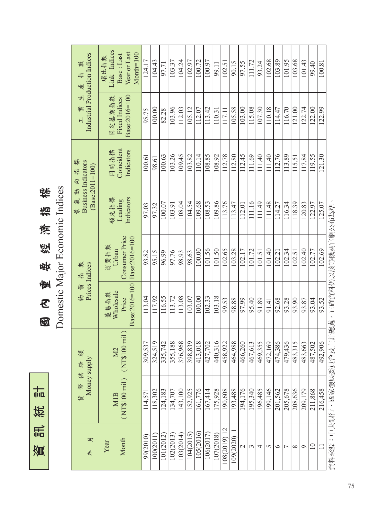訊統計 資訊統計資

國內重要經濟指標<br>Domestic Major Economic Indices 國 內 重 要 經 濟 指 標

Domestic Major Economic Indices

| 產指                                                        | Link Indices<br>Year or Last<br>$Month=100$<br>Base: Last<br>環比指數 | 124.17   | 104.43   | 97.71       | 103.37      | 104.24    | 102.97    | 100.72      | 100.97      | 99.11     | 102.51       | 90.15     | 97.55                    | 111.72  | 93.24       | 102.68                      | 103.89  | 101.95         | 103.68   | 101.43              | 99.40           | 100.81      |                                         |
|-----------------------------------------------------------|-------------------------------------------------------------------|----------|----------|-------------|-------------|-----------|-----------|-------------|-------------|-----------|--------------|-----------|--------------------------|---------|-------------|-----------------------------|---------|----------------|----------|---------------------|-----------------|-------------|-----------------------------------------|
| Industrial Production Indices<br>뵈<br>業<br>$\overline{H}$ | Base:2016=100<br>固定基期指數<br>Fixed Indices                          | 95.75    | 100.00   | 82.28       | 103.96      | 112.03    | 105.12    | 112.07      | 113.42      | 110.31    | 117.11       | 105.58    | 103.00                   | 115.08  | 107.30      | 110.18                      | 114.47  | 116.70         | 121.00   | 122.74              | 122.00          | 122.99      |                                         |
| 景氣動向指標<br><b>Business Indicators</b>                      | Coincident<br>Indicators<br>同時指標                                  | 100.61   | 98.61    | 100.63      | 103.26      | 109.45    | 103.82    | 110.14      | 108.85      | 108.92    | 112.78       | 112.80    | 112.45                   | 111.69  | 111.40      | 111.40                      | 112.76  | 113.89         | 115.51   | 117.84              | 119.55          | 121.30      |                                         |
| $(Base: 2011 = 100)$                                      | 領先指標<br>Indicators<br>Leading                                     | 97.03    | 97.32    | 100.07      | 103.91      | 108.04    | 104.54    | 109.68      | 108.53      | 109.86    | 113.76       | 113.47    | 112.01                   | 111.16  | 111.49      | 111.48                      | 114.27  | 116.34         | 118.39   | 120.83              | 122.97          | 125.07      |                                         |
| 數<br>盐                                                    | Consumer Price<br>Base:2016=100<br>消費指數<br>Urban                  | 93.82    | 95.15    | 96.99       | 97.76       | 98.93     | 98.63     | 100.00      | 101.56      | 101.50    | 102.65       | 103.28    | 102.17                   | 101.72  | 101.51      | 101.40                      | 102.21  | 102.34         | 102.51   | 102.40              | 102.77          | 102.69      | 資料來源:中央銀行、國家發展委員會及主計總處,正確資料仍以該等機關官網公布為準 |
| Prices Indices<br>物價                                      | Base:2016=100<br>Wholesale<br>遵售指數<br>Price                       | 113.04   | 117.92   | 116.55      | 113.72      | 113.08    | 103.07    | 100.00      | 102.33      | 103.18    | 99.53        | 98.88     | 97.99                    | 95.40   | 91.89       | 91.41                       | 92.68   | 93.28          | 93.90    | 93.87               | 93.04           | 93.52       |                                         |
| 额                                                         | (NT\$100 mi]<br><b>N2</b>                                         | 309,537  | 324,519  | 742<br>335, | 188<br>355, | 376,968   | 398,839   | 018<br>413, | 702<br>427, | 440,316   | 458,922      | 464,988   | 466,260                  | 467,613 | 355<br>469, | $\sqrt{69}$<br>$\sqrt{472}$ | 474,386 | 479,436        | 483,315  | 663<br>$\sqrt{483}$ | 487,502         | 906<br>492, |                                         |
| Money supply<br>貨幣供給                                      | $(\mathrm{NT\$100~mil})$<br><b>M1B</b>                            | 114,571  | 118,302  | 124,183     | 134,707     | 143,100   | 152,925   | 161,776     | 167,414     | 175,928   | 190,608      | 193,488   | 194,176                  | 195,340 | 196,485     | 199,146                     | 201,562 | 205,678        | 208,636  | 209,179             | 211,868         | 216,458     |                                         |
| 貝<br><b>年</b>                                             | Month<br>Year                                                     | 99(2010) | 100(2011 | 101(2012)   | 102(2013)   | 103(2014) | 104(2015) | 105(2016)   | 106(2017)   | 107(2018) | 108(2019) 12 | 109(2020) | $\overline{\mathcal{C}}$ | 3       | 4           | 5                           | $\circ$ | $\overline{ }$ | $\infty$ | $\circ$             | $\overline{10}$ | $\Box$      |                                         |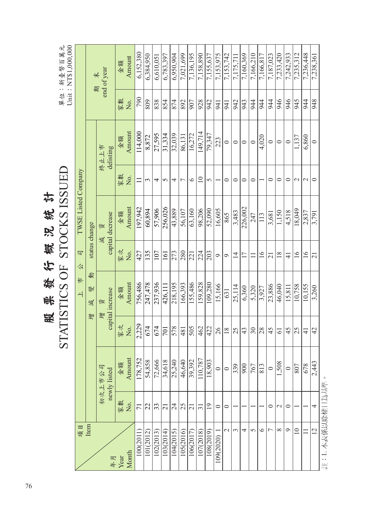STOCKS ISSUED 股票發行概況統計 熙毅行概况统計 STATISTICS OF 股

單位:新臺幣百萬元<br>Unit:NT\$1,000,000 STATISTICS OF STOCKS ISSUED This : NTS 1990 000 Unit: NT\$1,000,000 1000(2011) 71 178,752,380 752,323 178,752,322 178,048 1976,942 1427 1427 1978.6132,380 1000 1000 111 11 11 11 6,152,380 1012) 22 | 8,8784,950 | 8,874 | 8,874,478 | 8,984,950 | 8,872 | 8,8784,950 | 8,872 | 8,984,950 | 8,984,950 | 9 102(2013) 33 72,666 674 237,936 107 57,906 4 27,595 838 6,610,051 03(2014) | 21 | 34,618 | 34,618 | 21 | 161 | 161 | 161 | 161 | 170 | 170 | 170 | 570,397 | 5783,397 | 5783,397 105050569 250701 25 26015021701 250218 273 3603554 32,000 874 574 574 6,00000000 374 32 42 32,030000 4 105(2016) 25 | 25 | 26,640 | 26,593 | 280 | 280 | 280 | 280 | 380 | 380 | 380 | 380 | 380 | 380 | 280 | 280 | 380 | 380 | 380 | 380 | 380 | 380 | 380 | 380 | 380 | 380 | 380 | 380 | 380 | 380 | 380 | 380 | 380 | 380 | 380 106(2017) 21 39,392 505 155,486 221 63,160 6 16,272 907 7,136,195 107(2018) 31 110,787 462 159,828 224 98,206 10 149,714 928 7,158,890 108(2019) 19 18,903 422 109,280 203 52,090 5 79,347 942 7,155,637 109(2020) 1 0 0 26 15,166 9 16,605 1 223 941 7,153,975 2 0 1 196 1 0 1 0 1 0 1 0 1 0 1 0 1 1 0 1 1 0 1 0 1 0 1 0 1 0 1 0 1 0 1 0 1 0 1 0 1 0 1 0 1 0 1 0 1 0 1 0 1 0 1 3 1 339 25 25,114 14 3,483 0 0 942 7,175,711 4 1 900 43 6,360 17 226,002 0 0 943 7,160,369 0 5 1 767 1 247 1 1 1 1 2 20 1 2 20 1 2 20 1 2 20 1 20 1 20 1 20 1 20 1 20 1 20 1 20 1 20 1 20 1 20 1 20 1 20 1 6 1 813 28 3,927 16 113 1 4,020 944 7,166,817 7 0 0 45 23,886 21 3,681 0 0 944 7,187,023 8 2 1,508 61 46,040 18 1,150 0 0 946 7,233,420 9 0 0 45 15,811 41 4,518 0 0 946 7,242,933 10 1 807 25 10,758 16 18,049 2 1,137 945 7,235,312 11 1 678 41 10,155 16 2,837 2 6,860 944 7,236,448 12 4 2,443 42 3,260 21 3,791 0 0 948 7,238,361 6,384,950 6,950,904 7,021,699 7,136,195 7,158,890 7.153.742 7,160,369 7,166,210 7,166,817 7,187,023 7,233,420 7,242,933  $7,235,312$ 7,236,448 7,238,361 6,783,397 7,155,637 7,153,975 7,175,711  $\frac{6,610,051}{$ Amount 金額  $\frac{1}{2}$  and of year 增 減 變 動 status change コンピュータ リング・コンピュータ バイン おんちょう はんちょう はんちょう はんちょう はんちょう はんちょう きょう おんちょう きょう きょう はんちょう きょうかい きょう はんちょう  $\sqrt{67}$  $\sqrt{80}$  $\overline{\text{83}}$ 854 874  $\frac{892}{907}$ 828 942  $\sqrt{942}$ 943  $\frac{944}{3}$  $\frac{1}{2}$  $\frac{1}{944}$ 946 946  $\frac{5+6}{2}$  $\frac{94}{4}$ 848 家數 No.  $\overline{5}$ 941 Amount  $\frac{114,000}{$ 149,714  $\frac{27,595}{ }$ 31,334 32,039  $\frac{16,272}{2}$ 79,347  $\frac{8.872}{8.872}$ 86,131 1,137 6,860 金額  $\sqrt{4,020}$ 223  $\circ$  $\circ$  $\mid \! \! \circ$  $\circ$  $\circ$  $\circ$  $\circ$  $\circ$ 終止上市 delisting TWSE Listed Company 上 市 公 司 TWSE Listed Company 家數 No.  $\vert$   $\odot$  $\circ$  $\circ$  $\overline{\bullet}$  $\circ$  $\Box$  $\epsilon$ 4  $\overline{5}$ 4  $\circ$  $\sigma$  $\overline{\bullet}$  $\circ$  $\circ$  $\circ$  $\sim$  $\overline{\mathcal{L}}$ 197,942 256,026 43,889  $\sqrt{63,160}$ 98,206 52,090 226,002 56,107 16,605  $\frac{18,049}{$ Amount 60,894 57,906 4,518  $\frac{3,483}{3}$  $\overline{1,150}$ 2,837 金額  $\frac{1}{3,791}$ 865  $\frac{3,681}{2}$ capital decrease 247  $\vert$   $\Xi$ capital decrease status change 減 資 273  $\frac{1}{280}$  $\overline{\frac{224}{}}$  $\overline{203}$  $\sqrt{2}$ 家次 No.  $\overline{427}$  $\sqrt{135}$  $|\tilde{c}|$  $\overline{21}$  $\overline{16}$  $16$ 161  $\overline{1}$  $17$  $16$  $\frac{8}{18}$  $\overline{4}$  $\overline{21}$  $\mathcal{O}$  $\mathcal{O}$  $\Box$  $\overline{c}$ 公 動  $#$ 756,486 218,195 155,486  $166,393$ 59,828 247,478 237,936 09,280 25,114 23,886 46,040 10,758 10,155 Amount 15,166 426,111 6,360 5,320 15,811  $\frac{3,260}{ }$ 3,927 金額 變 capital increase 631 capital increase  $\overline{+}$ 增 資 減 尊  $2,229$ 家次 No. 674 578  $\frac{505}{505}$  $\overline{674}$  $\overline{01}$  $\overline{481}$  $\sqrt{62}$ 422  $\overline{\frac{8}{5}}$  $\boxed{8}$  $\overline{\mathcal{E}}$  $\frac{43}{5}$  $|S|$   $|S|$   $\frac{1}{2}$  $45$  $|z|_2$  $61$  $\overline{4}$ Amount 178,752 10,787 54,858 34,618 25,240 46,640 39,392 18,903 72,666 80s  $\frac{2,443}{ }$ 金額  $\sqrt{339}$ 900 807 678 767  $\sqrt{\frac{813}{}}$ 初次上市公司 初次上市公司  $\circ$  $\circ$  $\circ$  $\circ$ newly listed 家數 No.  $\overline{c}$  $|z|z|$ ង $|z|$ ង  $|\mathfrak{Z}$  $\overline{19}$  $\overline{21}$ 4  $\overline{7}$  $\circ$  $\circ$  $\circ$  $\mathbf{C}$  $\circ$ 項目 Item  $\overline{\mathcal{C}}$  $\epsilon$ 4  $\overline{S}$  $\circ$  $\infty$  $\circ$  $\overline{10}$  $\overline{\phantom{0}}$  $\overline{\mathbb{C}}$ 103(2014) 107(2018) 108(2019) 101(2012) 102(2013) 104(2015) 105(2016)  $106(2017)$  $\frac{100(2011)}{20}$ 109(2020) Month Year 年月

註:1. 本表係以除權日為基準。 註:1.本表係以除權日為基準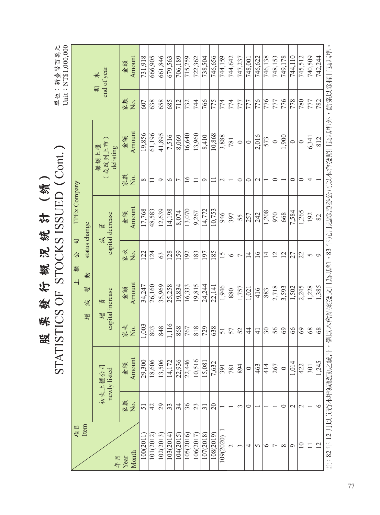|                                     |                |               |                            | Amount<br>金額  | 731,918  | 666,905   | 661,846   | 679,563   | 706,189        | 715,259         | 722,362   | 738,504         | 746,656   | 744,159   | 744,642       | 747,237        | 748,001        | 746,622         | 746,138         | 748.153        | 749,178         | 744,110      | 745.512         | 740,509 | 742.244 |                                      |
|-------------------------------------|----------------|---------------|----------------------------|---------------|----------|-----------|-----------|-----------|----------------|-----------------|-----------|-----------------|-----------|-----------|---------------|----------------|----------------|-----------------|-----------------|----------------|-----------------|--------------|-----------------|---------|---------|--------------------------------------|
| Unit: NT\$1,000,000<br>單位:新臺幣百萬元    |                |               | end of year<br>未<br>期      |               |          |           |           |           |                |                 |           |                 |           |           |               |                |                |                 |                 |                |                 |              |                 |         |         | 餘係以除權日為基準                            |
|                                     |                |               |                            | 家數<br>Δ.      | 607      | 638       | 658       | 685       | 712            | 732             | 744       | 766             | 775       | 774       | 774           | 777            | 777            | 776             | 776             | 777            | 776             | 778          | 780             | 777     | 782     |                                      |
|                                     |                |               | 或改列上市<br>撤銷上櫃<br>delisting | Amount<br>金額  | 19,856   | 61,196    | 41,895    | 7,516     | 8,069          | 16,640          | 13,960    | 8,410           | 10,868    | 3,888     | 781           | $\circ$        | $\circ$        | 2,016           | 573             | $\circ$        | 1,900           | $\circ$      | $\circ$         | 6,341   | 812     | ,係以本會結案發文日為基準,83年元月起除證券公司以本會發照日為基準外, |
|                                     |                |               |                            | 家數<br>Σó.     | $\infty$ | Ξ         | $\circ$   | $\circ$   | $\overline{ }$ | $\overline{16}$ | Ξ         | $\circ$         | 〓         | $\sim$    |               | $\circ$        | $\circ$        | $\sim$          |                 | $\circ$        |                 | $\circ$      | $\circ$         | 4       |         |                                      |
| STATISTICS OF STOCKS ISSUED (Cont.) | TPEx Company   |               | capital decrease<br>資      | Amount<br>金額  | 17,768   | 48,583    | 12,639    | 14,198    | 8,074          | 13,070          | 9.267     | 14,772          | 10,753    | 946       | 397           | 55             | 257            | 242             | 1,208           | 970            | 668             | 7,584        | 1,265           | 192     | 82      |                                      |
|                                     | 司<br>公<br>檀    | status change | 減                          | 家文<br>,<br>Ž  | 122      | 124       | $\Im$     | 128       | 159            | 192             | 183       | 197             | 185       | 15        | $\circ$       | $\overline{ }$ | $\overline{4}$ | $\overline{16}$ | $\overline{4}$  | 12             | $\overline{12}$ | 27           | 22              | 5       | $\circ$ |                                      |
|                                     | $\overline{+}$ | 動<br>變<br>減   | capital increase<br>資      | Amount<br>金額  | 34,247   | 26,160    | 35,969    | 25,258    | 19,834         | 16,333          | 19,815    | 24,244          | 22,141    | 1,946     | 880           | 1,757          | 1,021          | 416             | 883             | 2,718          | 3,593           | 1,502        | 2,245           | 1,228   | 1,385   |                                      |
|                                     |                | 寧             | 增                          | 家文<br>Δ.      | 1,003    | 803       | 848       | 1,116     | 868            | 767             | 818       | 729             | 638       | 51        | 57            | 52             | 4              | $\frac{1}{4}$   | $\overline{30}$ | 56             | 69              | 66           | 69              | $68\,$  | 68      |                                      |
|                                     |                |               | 初次上櫃公司<br>newly listed     | Amount<br>金額  | 29,300   | 18,606    | 13,506    | 14,172    | 22,936         | 22,446          | 10,516    | 15,081          | 7,632     | 391       | 781           | 894            | $\circ$        | 463             | 414             | 267            | $\circ$         | 1,014        | 422             | 301     | 1,245   |                                      |
|                                     |                |               |                            | 家數<br>Χo.     | 51       | 42        | 29        | 33        | 34             | 36              | 23        | $\overline{31}$ | 20        |           |               | 3              | $\circ$        |                 |                 |                | 0               | $\mathbf{C}$ | $\mathbf{\sim}$ |         | $\circ$ |                                      |
|                                     | 項目             | Item          | 年月                         | Month<br>Year | 100(2011 | 101(2012) | 102(2013) | 103(2014) | 104(2015)      | 105(2016)       | 106(2017) | 107(2018)       | 108(2019) | 109(2020) | $\mathcal{L}$ | 3              | 4              | 5               | $\circ$         | $\overline{ }$ | $\infty$        | $\circ$      | $\overline{10}$ | Ξ       | 12      | 註:82年12月以前資本增減變動之統計                  |

器账额存载访线护(續)<br>STATISTICS OF STOCKS ISSIFD (C) 股 票 發 行 概 況 統 計 (續)

77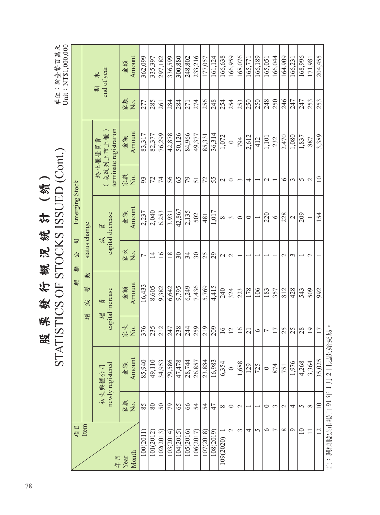|                       |                 | <b>STA</b>                 |                 | ATISTICS OF STOCKS ISSUED (Cont.) |                 |                       |            |                                             |           | Unit: NT\$1,000,000<br>單位:新臺幣百萬元    |
|-----------------------|-----------------|----------------------------|-----------------|-----------------------------------|-----------------|-----------------------|------------|---------------------------------------------|-----------|-------------------------------------|
| 項目                    |                 |                            |                 | 興                                 | 司<br>公<br>檀     | Emerging Stock        |            |                                             |           |                                     |
| Item                  |                 |                            | 彎               | 動<br>變<br>減                       | status change   |                       |            |                                             |           |                                     |
| 年月                    |                 | newly registered<br>初次興櫃公司 |                 | capital increase<br>資<br>增        | 減               | capital decrease<br>資 |            | terminate registration<br>或改列上市上櫃<br>終止櫃檯買賣 | 期         | end of year<br>$\frac{1}{\sqrt{2}}$ |
| Month<br>Year         | 家敦<br>Χo.       | Amount<br>金額               | 家文<br>Χo.       | Amount<br>金額                      | 家文<br>Χo.       | Amount<br>金額          | 家數<br>Χo.  | Amount<br>金額                                | 家數<br>Χo. | Amount<br>金額                        |
| 10002011              | 85              | 85,940                     | 376             | 16,433                            |                 | 2,237                 | 93         | 83,317                                      | 277       | 362,099                             |
| 101(2012              | 80              | 49,110                     | 235             | 8,605                             | $\overline{1}$  | 2,040                 | 72         | 82,377                                      | 285       | 335,397                             |
| 102(2013)             | $50\,$          | 34,953                     | 212             | 9,382                             | $\overline{16}$ | 6,253                 | 74         | 76,299                                      | 261       | 297,182                             |
| 103(2014)             | 79              | 79,586                     | 247             | 6,642                             | 18              | 3.931                 | 56         | 42,878                                      | 284       | 336,599                             |
| 104(2015)             | 65              | 47,478                     | 238             | 9,795                             | $30\,$          | 42,867                | 65         | 50,126                                      | 284       | 300,880                             |
| 105(2016)             | 66              | 28,744                     | 244             | 6,249                             | 34              | 2,135                 | 79         | 84,966                                      | 271       | 248,802                             |
| 106(2017)             | 54              | 26,857                     | 259             | 7,436                             | $30\,$          | 502                   | 51         | 49,377                                      | 274       | 233,216                             |
| 107(2018)             | 54              | 23,884                     | 219             | 5,769                             | 25              | 481                   | 72         | 85,331                                      | 256       | 177.057                             |
| 108(2019)             | 47              | 16,983                     | 209             | 4,415                             | 29              | 1,017                 | 55         | 36,314                                      | 248       | 161,124                             |
| 109(2020)             | $\infty$        | 6,354                      | $\geq$          | 240                               | $\sim$          | $^{\circ}$            | $\sim$     | 1,072                                       | 254       | 166,638                             |
| $\mathcal{L}$         | $\circ$         | $\circ$                    | 12              | 324                               | $\mathcal{L}$   | $\tilde{\phantom{0}}$ | $\circ$    | $\circ$                                     | 254       | 166,959                             |
| 3                     | $\mathbf{\sim}$ | 1,688                      | $\overline{16}$ | 223                               |                 | $\circ$               | 3          | 794                                         | 253       | 168,076                             |
| 4                     |                 | 129                        | 21              | 178                               |                 | $\circ$               | 4          | 2,612                                       | 250       | 165,771                             |
| $\sigma$              |                 | 725                        | $\circ$         | 106                               |                 |                       |            | 412                                         | 250       | 166,189                             |
| $\circ$               | 0               | $\circ$                    | 7               | 183                               |                 | 220                   | $\sim$     | 1,101                                       | 248       | 165,051                             |
| $\overline{ }$        | 3               | 874                        | 17              | 357                               |                 | $\circ$               |            | 232                                         | 250       | 166,044                             |
| $\infty$              | $\mathcal{L}$   | 751                        | 25              | 812                               | $\mathcal{L}$   | 228                   | $\circ$    | 2,470                                       | 246       | 164,909                             |
| $\sigma$              | 4               | 1,976                      | 25              | 428                               | $\epsilon$      | $\sim$                | $\epsilon$ | 1,080                                       | 247       | 166,231                             |
| $\overline{10}$       | $\sigma$        | 4,268                      | 28              | 543                               |                 | 209                   | $\sim$     | 1,837                                       | 247       | 168.996                             |
|                       | $\infty$        | 3,364                      | 19              | 509                               | $\sim$          |                       | $\sim$     | 887                                         | 253       | 171,981                             |
| 12                    | $\Box$          | 35,025                     | $\overline{17}$ | 992                               |                 | 154                   | $\equiv$   | 3,389                                       | 253       | 204,455                             |
| 註:興櫃股票市場自91年1月2日起開始交易 |                 |                            |                 |                                   |                 |                       |            |                                             |           |                                     |

照账额行费的彩件(餐) 股 票 發 行 概 況 統 計 (續)

78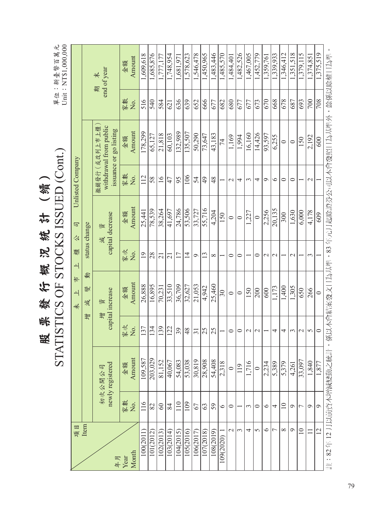|                |                 | <b>STA</b>                 |                 | ATISTICS OF STOCKS ISSUED (Cont.) |                     |                            |                  |                                                                  |          | Unit: NT\$1,000,000<br>單位:新臺幣百萬元    |
|----------------|-----------------|----------------------------|-----------------|-----------------------------------|---------------------|----------------------------|------------------|------------------------------------------------------------------|----------|-------------------------------------|
| 項目             |                 |                            |                 | #<br>$\overline{+}$<br>未          | 檀<br>$\overline{+}$ | 司<br>公                     | Unlisted Company |                                                                  |          |                                     |
| Item           |                 |                            | 學               | 動<br>變<br>減                       |                     | status change              |                  |                                                                  |          |                                     |
| 年月             |                 | newly registered<br>初次公開公司 |                 | capital increase<br>資<br>亭        |                     | capital decrease<br>資<br>減 |                  | withdrawal from public<br>撤銷發行(或改列上市上櫃<br>issuance or go listing | 無        | end of year<br>$\frac{1}{\sqrt{2}}$ |
| Month<br>Year  | 家數<br>No.       | Amount<br>金額               | 家文<br>Σò.       | Amount<br>金額                      | 家文<br>,<br>Ž        | Amount<br>金額               | 家數<br>No.        | Amount<br>金額                                                     | 家數<br>Ż. | Amount<br>金額                        |
| 100(2011)      | 116             | 109,587                    | 137             | 26,888                            | $\overline{19}$     | 25,441                     | 112              | 178,299                                                          | 516      | 1,609,618                           |
| 101(2012)      | 82              | 203,029                    | 134             | 16.895                            | 28                  | 78,539                     | 58               | 65,127                                                           | 540      | 1,685,876                           |
| 102(2013)      | $\rm 60$        | 81,152                     | 139             | 70,231                            | $\overline{21}$     | 38,264                     | $\overline{16}$  | 21,818                                                           | 584      | 1,777,177                           |
| 103(2014)      | 84              | 40,067                     | 122             | 33,510                            | $\overline{21}$     | 41,697                     | 47               | 60,103                                                           | 621      | 1,748,954                           |
| 104(2015)      | 110             | 54,083                     | 39              | 36,709                            | 17                  | 24,786                     | 95               | 132,989                                                          | 636      | 1,681,97                            |
| 105(2016)      | 109             | 53,038                     | 48              | 32,627                            | $\overline{4}$      | 53,506                     | 106              | 135,507                                                          | 639      | 1,578,623                           |
| 106(2017)      | 67              | 30,819                     | $\overline{31}$ | 21,053                            | $\sigma$            | 33,727                     | 54               | 50,290                                                           | 652      | 1,546,478                           |
| 107(2018)      | 63              | 28,908                     | 25              | 4,942                             | $\frac{3}{2}$       | 55,716                     | $\overline{6}$   | 73,647                                                           | 666      | 1,450,965                           |
| 108(2019)      | 59              | 54,408                     | 25              | 25,460                            | $\infty$            | 4,204                      | 48               | 43,183                                                           | 677      | 1,483,446                           |
| 109(2020)      | $\circ$         | 2,318                      |                 | $30\,$                            |                     | 150                        |                  | $\overline{7}$                                                   | 682      | 1,485,570                           |
| $\mathcal{L}$  | $\circ$         | $\circ$                    | $\circ$         | $\circ$                           | $\circ$             | $\circ$                    | $\mathcal{L}$    | 1,169                                                            | 680      | 1,484,401                           |
| 3              |                 | 119                        | $\circ$         | $\circ$                           | $\circ$             | $\circ$                    | 4                | 1,994                                                            | 677      | 1,482,526                           |
| 4              | 3               | 1,716                      | $\mathcal{L}$   | 150                               |                     | 1,227                      | $\epsilon$       | 16,160                                                           | 677      | 1,467,005                           |
| 5              | $\circ$         | $\circ$                    | $\mathcal{L}$   | 200                               | $\circ$             | $\circ$                    | 4                | 14,426                                                           | 673      | 1,452,779                           |
| $\circ$        | $\circ$         | 2,234                      |                 | 600                               | $\mathcal{L}$       | 2,256                      | $\circ$          | 93,597                                                           | 670      | 1,359,761                           |
| $\overline{ }$ | 4               | 5,389                      | 4               | 1,173                             | $\mathcal{L}$       | 20,135                     | $\circ$          | 6,255                                                            | 668      | 1,339,933                           |
| ${}^{\circ}$   | $\overline{10}$ | 5,379                      | 4               | 1,400                             |                     | 300                        | $\circ$          | $\circ$                                                          | 678      | 1,346,412                           |
| $\circ$        | $\circ$         | 4,261                      | ω               | 1,305                             | $\mathcal{C}$       | 1,630                      | $\circ$          | $\circ$                                                          | 687      | 1,351,518                           |
| $\Box$         | $\overline{ }$  | 33,097                     | $\mathbf{\sim}$ | 650                               |                     | 6,000                      |                  | 150                                                              | 693      | 1,379,115                           |
| $\Box$         | $\circ$         | 1,840                      | 5               | 266                               | 3                   | 4,178                      | $\mathcal{L}$    | 2,192                                                            | 700      | 1,374,851                           |
| $\overline{2}$ | $\circ$         | 1,877                      | $\circ$         | $\circ$                           |                     | 609                        |                  | 600                                                              | 708      | 1,375,519                           |

**CTATICTICS OF STOCKS ISSUED (Cat )** 股 票 發 行 概 況 統 計 (續) 票發行概况统計 (續) 股

79

註:82 年 12 月以前資本增減變動之統計,係以本會結案發文日為基準,83 年元月起除證券公司以本會發照日為基準外,餘係以除權日為準。

註:82年12月以前資本增減變動之統計,係以本會結案發文日為基準,83年元月起除證券公司以本會發照日為基準外,餘係以除權日為準。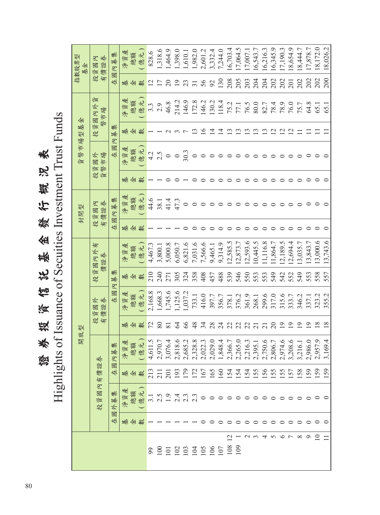Highlights of Issuance of Secuities Investment Trust Funds Highlights of Issuance of Secuities Investment Trust Funds證券投資信託基金發行概況表 發行概况表 金 背影 資育 投 崇 蒼星

17,064.5 16,216.3 17,190.3 8,172.0 18,026.2 2,601.2 1,318.6 1,464.9 1,398.0 3,332.4 7,244.0  $6,703.4$ 6,345.9 8,654.9 8,444.7 17,878.7 9 0 0 159 2,986.0 19 337.1 553 13,843.7 0 0 0 0 11 64.8 202 17,878.7 10 0 0 159 2,957.9 18 323.2 558 13,000.6 0 0 0 0 11 65.1 202 18,172.0  $11 \t3 \t3 \t0 \t1 \t1 \t0 \t1 \t1 \t0 \t1 \t0 \t1 \t0 \t1 \t0 \t1 \t0 \t1 \t3 \t5 \t5 \t7 \t1 \t3 \t5 \t5 \t7 \t1 \t3 \t5 \t5 \t4 \t1 \t5 \t5 \t1 \t5 \t5 \t1 \t5 \t1 \t1 \t0 \t1 \t1 \t0 \t1 \t1 \t0 \t1 \t0 \t1 \t0 \t1 \t0 \t1 \t0 \t1 \t0 \t1 \t0 \t1 \t0 \t1 \t0 \t1 \t0 \t1 \t0 \t1 \t0 \t1 \t$ 淨資產 1,982.0 108 12 0 | 0 | 154 | 2,366.7 | 2,366.7 | 2,78.1 | 3,78.1 | 3,78.1 | 3,78.1 | 3,78.1 | 3,78.5 | 208 | 14 | 154 | 109 1 0 0 154 2,265.0 22 376.2 546 12,873.7 0 0 0 0 13 77.1 205 17,064.5 17,007.1 2 0 0 154 2,216.3 22 361.9 550 12,593.6 0 0 0 0 13 76.5 203 17,007.1  $0.543.7$ 3 0 0 155 2,395.1 21 268.1 553 10,445.5 0 0 0 0 13 80.0 204 16,543.7 4 0 0 156 2,750.6 21 299.6 553 11,116.8 0 0 0 0 13 82.7 204 16,216.3 5 0 0 10 10 10 10 10 10 10 10 10 12 12 14 202 16:50 16:50 16:50 16:50 16:51 16:54.59 16:54.59 16:54. 6 0 0 155 2,974.6 19 315.6 542 12,189.5 0 0 0 0 12 78.9 202 17,190.3 7 0 0 157 3,208.6 19 333.7 552 12,694.4 0 0 0 0 12 76.0 201 18,654.9 8 0 0 158 3,216.1 19 346.2 549 13,035.7 0 0 0 0 11 75.7 202 18,444.7 ( 億元 ) 828.6 100 | 1 | 2.5 | 2.1 | 2.5 | 2.970.7 | 30 | 3,668.3 | 2.40 | 38.1 | 1 | 38.1 | 1 | 2.5 | 1 | 2.9 | 1.318.6 61945-1.9 | 2 | 2 | 2 | 0 | 0 | 0 | 4 | 1 | 1 | 8:000's | 122 | 122 | 132 | 41.64.9 | 102 | 102 | 102 | 102 | 1 102 1 2.4 193 2,818.6 64 1,125.6 305 6,050.7 1 47.3 0 0 3 214.2 19 1,398.0 103 | 1 $\begin{bmatrix} 2.3 & 179 & 2.685.2 & 66 & 324 & 6.821.6 & 0 & 0 & 1 & 30.3 & 30.3 & 73 & 146.9 & 33 & 1610.1 & 30 & 30.3 & 30.3 & 30.3 & 30.3 & 30.3 & 30.3 & 30.3 & 30.3 & 30.3 & 30.3 & 30.3 & 30.3 & 30.3 & 30.3 & 30.3 & 30.3 & 30.3 & 30.3 & 30.3 & 30.3 & 3$ 104 1 2.3 172 2,328.8 48 733.1 358 7,031.6 0 0 0 0 13 172.8 31 1,982.0 105 0 0 167 2,022.3 34 416.0 408 7,566.6 0 0 0 0 16 146.2 56 2,601.2 106 0 0 165 2,029.0 28 397.7 457 9,465.1 0 0 0 0 14 130.2 92 3,332.4 1,610.1 107 0 0 160 1,848.4 24 356.7 488 9,314.9 0 0 0 0 14 118.4 130 7,244.0 總額 在國內募集 在國外募集 在國內募集 在國內募集 在國內募集 在國內募集 在國內募集 99 1 3.1 213 4,611.5 72 2,168.8 210 4,467.3 1 44.6 1 4.2 1 3.3 12 828.6 指數股票型 開放型 封閉型 貨幣市場型基金 指數股票型 投資國內 有價證券 基金 202 202 130 205 202 200  $277788$ 208 203 204 204 202  $202$ 201  $\frac{2}{17}$ 基 金 數 貨具 投資國內外貨 總額 ( 億元 ) 淨資產 146.9 214.2 172.8 146.2 130.2 46.8 118.4 76.5 80.0 78.9 76.0  $3.\overline{3}$ <br>2.9 75.2 82.7 78.4 75.7 64.8 77.1 65.1 投資國內外 65. 幣市場 金 幣市場型基 集  $\frac{13}{5}$ 111212121212 基 金 數  $\alpha$  $\infty$  $\overline{a}$  $\equiv$  $\equiv$  $\Xi$   $\Xi$ 募  $\overline{R}$ 國 淨資產 ( 億元 ) 總額 30.3 在  $4.2$  $2.5$ 投資國外 貨幣市場  $\circ$  $\circ$  $\circ$  $\circ$  $\circ$  $\circ \circ \circ \circ$  $\circ \circ \circ \circ \circ \circ$  $\circ$  $\circ$   $\circ$   $\circ$ 貨 基 金 數  $\circ$  $\circ$  $00000000$  $\circ$   $\circ$   $\circ$  $\circ$  $\circ$  $\circ$  $\circ$   $\circ$ 淨資產 ( 億元 ) 總額 44.6 集 41.4 47.3 38.1  $\circ$ 投資國內 有價證券  $\circ$   $\circ$  $\circ$  $\circ \circ \circ \circ$  $\circ\circ\circ\circ\circ$  $\circ \circ \circ \circ$ 國內募 封閉型 在 基 金 數  $\circ$  $\circ$  $\circ$  $\circ$  $\circ$  $\circ$ 11,116.8 13,000.6 5,000.8 6,821.6 7,566.6 2,585.5 2,873.7 2,593.6  $0.445.5$ 1,864.7 2,189.5 2,694.4 3,035.7 .3,843.7 3,743.6 4,467.3 9,465.1 9,314.9 7,031.6 有 投資國內外有 淨資產 3,800.1 6,050.7 ( 億元 ) 總額 投資國內外 價證券 集 210 240 305 324 358 408 457 488 539 546 549 542 552 549 553 558 557 271 550 553 553 基 金 數 募  $\mathcal{R}$ 1,668.3 2,168.8 1,745.6 1,125.6 國 .037.2 淨資產 ( 億元 ) 733.1 416.0 397.7 356.7 376.2 361.9 299.6 315.6 333.7 346.2 323.2  $\sim$ 總額 268.1 317.0 337.1 378.1 投資國外<br>有價證券 355.2 在 投資國內有價證券 投資國外  $R$   $\frac{8}{2}$  $38$  $\frac{8}{4}$  $34$  $28$ 33335529  $\overline{9}$  $\overline{9}$  $\overline{9}$  $18$  $\frac{8}{18}$ 基 金 數 開放型 2,685.2 4,611.5 2,970.7 1,848.4 2,806.7 2,974.6 2.957.9 3,169.4 淨資產 3,076.4 2,818.6 2,328.8 2,022.3 2,029.0 2,366.7 2,265.0 2,216.3 2,750.6 3,208.6 總額 ( 億元 ) 2,395.1 2,986.0 3,216.1 集 募  $\overline{R}$ 投資國內有價證券 圈 213  $211$ 67 65 201 193 179  $172$ 160 -54 154 54 55 56 55 55 57 58 59 59 59 在 基 金 數 淨資產 外募集 總額 ( 億元 )  $3.1$ <br> $2.5$  $1.9$  $2.3$ <br> $2.3$  $\circ \circ \circ \circ \circ \circ \circ$  $\circ\circ\circ\circ\circ$  $\circ \circ \circ \circ$ 國 在 基 金 數  $\circ$  $\circ$  $\circ$  $\circ$   $\circ$   $\circ$  $\circ$  $\circ$  $\circ$  $\circ$  $\circ$   $\circ$  $\circ$  $\bigcap$  $\begin{array}{ccccccccccccc} \tau & \circ & \circ & \circ & \circ & \circ & \circ & \circ \end{array}$  $\overline{\omega}$  $-20$  $\Box$ 888886  $\frac{80}{100}$  $100$  $101$ 99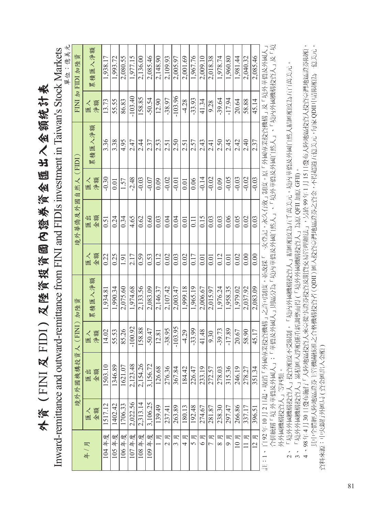外資(FINI及FIDI)及陸資投資國內證券資金匯出入金額統計表 外資(FINI 及 FIDI)及陸資投資國內證券資金匯出入金額統計表

川州の Inward-remittance and outward-remittance from FINI and FIDIs investment in Taiwan's Stock Markets Inward-remittance and outward-remittance from FINI and FIDIs investment in Taiwan's Stock Markets

| 單位:億美元 | FINI 加 FIDI 加陸資   | 累積匯入淨額   | 1,938.17 | 1,993.72 | 2,080.55 | 1,977.15  | 2,136.00 | 2,085.46 | 2,148.90 | 2,109.93                      | 2,005.97  | 2,001.69 | 1,967.76 | 2,009.10       | 2,018.38 | 1,978.74      | 1,960.80 | 1,981.44         | 2,040.32 | 2,085.46            |                                                                            |                                                                      |               |
|--------|-------------------|----------|----------|----------|----------|-----------|----------|----------|----------|-------------------------------|-----------|----------|----------|----------------|----------|---------------|----------|------------------|----------|---------------------|----------------------------------------------------------------------------|----------------------------------------------------------------------|---------------|
|        |                   | 淨額<br>屋入 | 13.73    | 55.55    | 86.83    | $-103.40$ | 158.85   | $-50.54$ | 12.90    | $-38.97$                      | $-103.96$ | $-4.28$  | $-33.93$ | 41.34          | 9.28     | $-39.64$      | $-17.94$ | 20.64            | 58.88    | 45.14               |                                                                            |                                                                      |               |
|        |                   | 累積匯入淨額   | 3.36     | 3.38     | 4.95     | 2.47      | 2.4      | 2.37     | 2.53     | 2.51                          | 2.50      | 2.51     | 2.57     | 2.43           | 2.41     | 2.50          | 2.45     | 2.42             | 2.40     | 2.37                | 自 92 年 10 月 2 日起,取消「外國專業投資機構」之許可制度,並改採「一次登記,永久有效」制度。原「外國專業投資機構」及「境外華僑及外國人」 | 合併統稱「境 外華僑及外國人」;「華僑及外國人」則區分為「境內華僑及外國自然人」、「境外華僑及外國自然人」、「境內外國機構投資人」及「境 |               |
|        |                   | 淨額<br>屋人 | $-0.30$  | 0.01     | 1.57     | $-2.48$   | $-0.03$  | $-0.07$  | 0.09     | $-0.02$                       | $-0.01$   | 0.01     | 0.06     | $-0.14$        | $-0.02$  | 0.09          | $-0.05$  | $-0.03$          | $-0.02$  | $-0.03$             |                                                                            |                                                                      |               |
|        | 境外華僑及外國自然人 (FIDI) | 金額<br>医圆 | 0.51     | 0.24     | 0.34     | 4.65      | 0.62     | 0.60     | 0.03     | 0.04                          | 0.04      | 0.01     | $\Xi$    | 0.15           | 0.03     | 0.03          | 0.06     | 0.05             | 0.02     | 0.03                |                                                                            |                                                                      |               |
|        |                   | 金額       | 0.22     | 0.25     | 1.91     | 2.17      | 0.59     | 0.53     | 0.12     | 0.02                          | 0.03      | 0.02     | 0.17     | 0.01           | 0.01     | 0.12          | 0.01     | 0.02             | 0.00     | 0.00                |                                                                            |                                                                      |               |
|        |                   | 累積匯入淨額   | 1,934.81 | 1,990.34 | 2,075.60 | 1,974.68  | 2,133.56 | 2,083.09 | 2,146.37 | 2,107.42                      | 2,003.47  | 1,999.18 | 1,965.19 | 2,006.67       | 2,015.97 | 1,976.24      | 1,958.35 | 1,979.02         | 2,037.92 | 2,083.09            |                                                                            |                                                                      |               |
|        | 人 (FINI) 加陸資      | 淨額<br>匯入 | 14.02    | 55.53    | 85.26    | $-100.92$ | 158.88   | $-50.47$ | 12.81    | $-38.95$                      | $-103.95$ | $-4.29$  | $-33.99$ | 41.48          | 9.30     | $-39.73$      | $-17.89$ | 20.67            | 58.90    | 45.17               |                                                                            |                                                                      |               |
|        | 境外外國機構投資          | 金額<br>医组 | 1503.10  | 1346.89  | 1621.07  | 2,123.48  | 2,154.26 | 3,156.72 | 126.68   | 276.36                        | 367.84    | 184.42   | 226.47   | 233.19         | 272.57   | 278.03        | 315.36   | 246.19           | 278.27   | 351.34              |                                                                            |                                                                      |               |
|        |                   | 金額<br>匯入 | 1517.12  | 1402.42  | 1706.33  | 2,022.56  | 2,313.14 | 3,106.25 | 139.49   | 237.41                        | 263.89    | 180.13   | 192.48   | 274.67         | 281.87   | 238.30        | 297.47   | 266.86           | 337.17   | 396.51              |                                                                            |                                                                      | 外外國機構投資人」等四類。 |
|        |                   | 年/月      | 104年度    | 105年度    | 106年度    | 107年度     | 108年度    | 109年度    | 月        | 月<br>$\overline{\mathcal{C}}$ | 月         | 月<br>4   | 月<br>5   | 月<br>$\bullet$ | 叹        | 月<br>$\infty$ | 吗<br>Ó   | 月<br>$\supseteq$ | 月        | 月<br>$\overline{a}$ | 註:1、                                                                       |                                                                      |               |

 2、 「境外外國機構投資人」投資額度不受限制,「境內外國機構投資人」結匯額度為五千萬美元,境內華僑及外國自然人結匯額度為五百萬美元。 2、「境外外國機構投資人」投資額度不受限制,「境內外國機構投資人」結匯額度為五千萬美元,境內華僑及外國自然人結匯額度為五百萬美元

3、 「境外外國機構投資人」累積匯入淨額係重新調整而得 (「境外外國機構投資人」為原 QFII 加原 GFII)。

 4 、 98 年 4 月 30 日發布施行「大陸地區投資人來臺從事證券投資及期貨交易管理辦法」,另於 99 年 1 月 15 日發布大陸地區投資人投資臺灣地區證券限額, 其中全體經大陸地區證券主管機關核准之合格機構投資者(QDII)匯入投資臺灣地區證券之資金,不得超過五億美元,每家QDII申請限額為一億美元。 其中全體經大陸地區證券主管機關核准之合格機構投資者 ( QDII ) 匯入投資臺灣地區證券之資金,不得超過五億美元,每家 QDII 申請限額為一億美元。 3、「境外外國機構投資人」累積匯入淨額係重新調整而得 (「境外外國機構投資人」為原 QFII 加原 GFII)。<br>4 、98 年 4 月 30 日發布施行「大陸地區投資人來臺從事證券投資及期貨交易管理辦法」,另於 99 年 1 月 15 日發布大陸地區投資人投資臺灣地區證券限額 資料來源:中央銀行外匯局(資金匯出入金額) 資料來源:中央銀行外匯局 ( 資金匯出入金額 )

81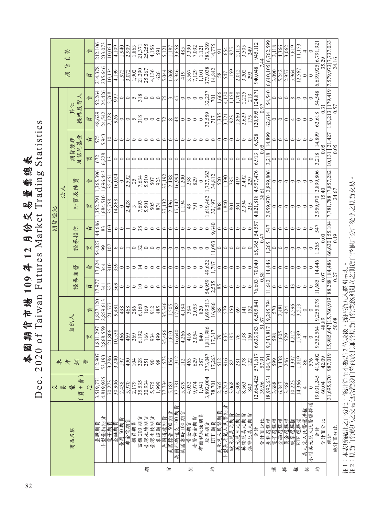|                                            | נ                  |
|--------------------------------------------|--------------------|
| 熏總表                                        | ρŪ<br>radim        |
| 12月份交易量                                    | Market T-          |
| ्<br>भ<br>109<br>黏                         | aiwan              |
| 期貨市<br><b>R</b><br>$\overline{\mathbf{r}}$ | $\epsilon$<br>2020 |
|                                            | Dec.<br>Ĺ          |

|   |                      | 仪                                | 未             |                 |                    |               |                |                          | 期貨經紀    |                     |              |                   |         |                   |                |                         |                  |
|---|----------------------|----------------------------------|---------------|-----------------|--------------------|---------------|----------------|--------------------------|---------|---------------------|--------------|-------------------|---------|-------------------|----------------|-------------------------|------------------|
|   |                      | 易                                | 夫             |                 |                    |               |                |                          |         | 法人                  |              |                   |         |                   |                | 貨<br>期                  | 誉<br>自           |
|   | 商品名稱                 | 賣<br>量<br>$\qquad \qquad +$<br>買 | 躺             | 自               | 然人                 | 證券            | 誉<br>自         | 證券投信                     |         | 外資及陸資               |              | 及信託基金<br>期貨經理     |         | 機構投資人<br>其他       |                |                         |                  |
|   |                      | $\overline{2}$                   | 量             | 買               | 責                  | 買             | 責              | 買                        | 責       | 買                   | 責            | 買                 | 賣       | 買                 | 栅              | 買                       | 啬                |
|   | 臺股期貨                 | 3,519,771                        | 112,907       | 831,297         | ,827,120           | 7.97          | 17,624         | 54,02                    | 44,686  | 352.79              | 365,396      | 672               | 575     | 48,629            | 52,264         | 214,378                 | 212,106          |
|   | 俞<br>小型臺指期           | 4,819,925                        | 53,193        | ,868,559<br>N   | 2,859,613          | 341           | 34             | 99                       | 83      | ,684,510            | 1,696,443    | 6,228             | 5,943   | 24,542            | 24,426         | 235,646                 | 233,073          |
|   | 電子期貨                 | 70,273                           | 3,286         | 21,806          | 21,577             | 327           | 310            | 107                      | 103     | 35,758              | 35,451       | 13                |         | 2.128             | 2,768          | 10,134                  | 10,054           |
|   | 金融期貨                 | 30,906                           | 3,240         | 10,538          | 9,491              | 369           | 339            | 6                        | 6       | 14,868              | 16,024       | 0                 | 0       | 926               | 937            | 4,199                   | 4,109            |
|   | 臺灣 50期貨              | 2,438                            | 197           | 466             | 498                | $\circ$       | $\circ$        | $\circ$                  | 0       | $\circ$             | $\circ$      | 0                 | 0       | $\circ$           | $\circ$        | 1,972                   | 1,940            |
|   | 非金電期貨                | 5,970                            | 490           | 469             | 468                | $\circ$       | $\circ$        |                          |         | 2,428               | 2,592        | 0                 | 0       | $\circ$           | $\circ$        | 3,072                   | 2,909            |
|   | 櫃買期貨                 | 2,179                            | 104           | 269             | 286                | $\circ$       | $\circ$        | $\circ$                  | $\circ$ | 3                   | 25           | 0                 | ⊂       | 5                 | $\sim$         | 1,902                   | 1,863            |
|   | 富櫃 200 期貨            | 35,535                           | 228           | 6,192           | 6,160              | $\supseteq$   | $\overline{4}$ | $\overline{\mathcal{Z}}$ | 38      | 7,693               | 7,634        |                   | ⊂       | 318               | 318            | 21,290                  | 21,371           |
| 期 | 臺灣永續期貨               | 30,934                           | 251           | 166             | 169                | $\circ$       | $\circ$        | $\circ$                  | $\circ$ | 5.501               | 5,510        | 0                 | ⊂       | $\circ$           | $\circ$        | 25,267                  | 25,255           |
|   | 臺灣生技期                | 5.575                            | 90            | 934             | 912                | 0             | 0              | 0                        | $\circ$ | 505                 | 507          | 0                 |         | $\circ$           | $\circ$        | 4.136                   | 4,156            |
|   | 東證期貨                 | 1.999                            | $\frac{8}{3}$ | 499             | 485                | 0             | 0              | $\circ$                  | $\circ$ | 874                 | 923          | 0                 |         | $\circ$           | $\circ$        | 626                     | 591              |
|   | 美國道瓊期貨<br>美國標普 500 期 | 77,734                           | 1,573         | 35,486          | 35,346             | 0             | $\circ$        | $\circ$                  | $\circ$ | 37,132              | 37,192       | 0                 |         | $\overline{72}$   | $\frac{5}{12}$ | 5,044                   | 5,121            |
| 貨 | ŕщ                   | 5,183                            | 456           | 1,610           |                    | 0             | 0              | $\circ$                  | 0       | 2,496               | 2,488        | ≎                 |         | $\infty$          | $\sim$         | 1,069                   | $\sqrt{1.187}$   |
|   | 美國那斯達克100 期貨         | 37,781                           | 312           | 16,640          | 17,082             | 0             | 0              | 0                        | 0       | 7,147               | 16,994       | 0                 |         | 48                | 47             | 3,946                   | 3,658            |
|   | 征<br>英國富時100期        | 5,879                            | 112           | 4,266           | 4.194              | 0             | 0              | $\circ$                  | 0       | 1.194               | 1,200        |                   |         | $\circ$           | $\circ$        | 419                     | 485              |
| 契 | 黃金期貨                 | 4,032                            | 463           | 416             | 384                | 0             | 0              | 0                        | $\circ$ | 49                  | 258          | ⊂                 |         | $\circ$           | $\circ$        | 3,567                   | 3,390            |
|   | 加<br>臺幣黃金期           | 9,974                            | 629           | 2,054           | 2,053              | $\circ$       | $\circ$        | $\circ$                  | $\circ$ | 791                 | $\sqrt{829}$ | 0                 |         | $\circ$           | $\circ$        | 7,129                   | 7,092            |
|   | 俞<br>布蘭特原油期          | 1.941                            | 387           | 840             | 820                | 0             | 0              | $\circ$                  | $\circ$ | $\circ$             | $\circ$      | 0                 |         | $\circ$           | 0              | 1,101                   | 1,121            |
|   | 股票期貨                 | 3,892,004                        | 373,047       | 811,986         | 1,699,51           | 54,959        | 49,622         | $\circ$                  | $\circ$ | 1,619,462           | ,727,363     | 0                 | 0       | 32,559            | 32,237         | 373,038                 | 383,269          |
| 約 | ETF 期貨               | 78,701                           | 17,263        | 17,31'          | 16,986             | 2,535         | ,787           | 1,093                    | 9,640   | 32,197              | 34,812       | 0                 |         | 717               | 701            | 14,842                  | 14,775           |
|   | 美元兑人民幣期貨             | 2,365                            | 512           | 79              | 88                 | 85            | $\circ$        | $\circ$                  | 0       | 808                 | 520          | 0                 |         | 1,335             | 1,666          | 58                      | $\overline{5}$   |
|   | ∜≡<br>小型美元兌人民幣期      | 6,743                            | 916           | 635             | 579                | $\circ$       | $\circ$        | $\circ$                  | $\circ$ | 1,840               | 1,390        | 0                 | 0       | 3.72              | 4.120          | 547                     | 654              |
|   | 歐元兌美元期貨              | 3,068                            | $\otimes$     | 185             | 150                | $\circ$       | $\circ$        | 0                        | 0       | 801                 | 785          | 0                 | 0       | 923               | 1,158          | 1,159                   | $\overline{975}$ |
|   | 美元兒日元期貨<br>英鎊兌美元期貨   | $\frac{4,309}{8,363}$            | 281           | $\overline{76}$ | $\overline{69}$    | $\circ$       | $\circ$        | $\circ$                  | 0       | 361                 | 419          | 0                 |         | 1,860             | ,708           | 2,012                   | 2,113            |
|   |                      |                                  | 378           | $\sqrt{138}$    | $\overline{141}$   | $\circ$       | $\circ$        | $\circ$                  | $\circ$ | 2,394               | 2,492        | 0                 |         | 2,629             | 2,225          | 3,202                   | 3,505            |
|   | 澳幣兌美元期貨              | 843                              | 122           | 160             | 152                | 0             | 0              | 0                        | 0       | 215                 | 229          | 0                 |         | 175               | 213            | 293                     | 249              |
|   | 合計                   | 12,664,425                       | 571,617       | 633,083<br>Ó,   | 6,505,84           | 76,603        | 70,040         | 65,365                   | 54,557  | 4,821,818           | 4,957,476    | 6,913             | 6,528   | 120,595           | 124,87         | 940,048                 | 945,112          |
|   | 合計百分比                | 39.96                            | 57.91         | 5               | 87                 | 0.58          |                | $\dot{4}$                |         | 38.61               |              | 0.05              |         | 0.97              |                | 4                       |                  |
|   | 臺指選擇權                | 18.992.63                        | 404.30        | 343.81<br>o,    | 9,245,794          | .642          | 14.446         | 265                      | 547     | 2.959.970           | 2.899,806    | $\frac{3.218}{ }$ | 14,899  | 62,614            | 54,540         | 6.610.105               | 6,762.599        |
| 選 | 電子選擇權                | 3,688                            | 599           | 598             | 570                | 0             | ၁              | $\circ$                  | 0       | ం∣ం                 | っ            | 0                 | っ       | っ                 | $\circ$        | 3,090                   | 3,118            |
|   | 金融選擇權                | 6,847                            | 3,438         | 1,605           | 2,481              | $\circ$       | $\circ$        | $\circ$                  | $\circ$ |                     | $\circ$      | 0                 | $\circ$ | $\circ$           | ∣⇔             | 5,242                   | 4,366            |
| 挥 | 黄金選擇權                | 3,486                            | 246           | 529             | 424                | $\circ$       | $\circ$        | $\circ$                  | $\circ$ | $\circ$             | $\circ$      | $\circ$           | 0       | $\circ$           | $\circ$        |                         | 3,062            |
| 權 | 股票選擇權                | 10,223                           | 4,337         | 4,212           | 2,596              | 43            | $\circ$        | $\circ$                  | $\circ$ | $\circ$             | 0            | $\circ$           | 0       | 4                 | ${}^{\infty}$  | 5,964                   | 7,619            |
|   | ETF 選擇權              | 14,366                           | 1,819         | $\frac{66}{20}$ | 3,213              | $\circ$       | $\circ$        | $\circ$                  | $\circ$ | $\circ$             | 0            | $\circ$           | 0       | 0                 | $\circ$        | 12,567                  | 11,153           |
| 契 | 美元兒人民幣選擇權            | 4                                | 86            | 4               | $\circ$            | $\circ$       | $\circ$        | $\circ$                  | $\circ$ | $\circ$             | $\circ$      | $\circ$           | 0       | $\circ$           | $\circ$        | $\circ$                 | 4                |
|   | 權<br>小型美元兒人民幣選擇      | $\subset$                        | 576           | $\circ$         | $\subset$          | $\circ$       | $\circ$        | $\circ$                  | $\circ$ | $\subset$           |              | 0                 |         |                   | $\subset$      | $\subset$               | ⊂                |
| 約 | 合計                   | 19,031,245                       | 415,402       | 352,564<br>o,   | 9,255,078          | 1,685         | 14,446         | $\overline{.265}$        | 547     | 2,959,970           | 2,899,806    | 3,218             | 14,899  | 62,618            | 54,548         | $6,639,925$ $6,791,921$ |                  |
|   | 合計百分比                | 60.04                            | 42.09         | 48.89           |                    | 0.07          |                | 0.00                     |         | 15.40               |              | 0.05              |         | $\overline{0.31}$ |                | 35.29                   |                  |
|   | 總計                   | 31,695,670                       | 987,019       | 15              | 985,647 15,760,919 | 88,288 84,486 |                | 66,630 55,104            |         | 7,781,788 7,857,282 |              | 10,131            | 21,427  | 183,213           | 179,419        | 7,579,973 7,737,033     |                  |
|   | 總計百分比                |                                  |               | 50.08           |                    | 0.27          |                | 0.19                     |         | 24.67               |              | 0.05              |         | 0.57              |                | 24.16                   |                  |
|   |                      |                                  |               |                 |                    |               |                |                          |         |                     |              |                   |         |                   |                |                         |                  |

註 1:本表所統計之百分比,係計算至小數點 2 位數後,採四捨五入邏輯呈現。<br>註 2:期貨自營帳戶之交易包含證券自營商於其兼營期貨自營業務所開立之期貨自營帳戶分戶從事之期貨交易。 註 2:期貨自營帳戶之交易包含證券自營商於其兼營期貨自營業務所開立之期貨自營帳戶分戶從事之期貨交易。註 1:本表所統計之百分比,係計算至小數點 2 位數後,採四捨五入邏輯呈現。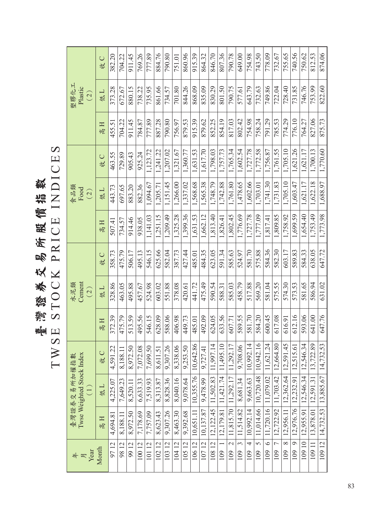臺灣貓將以吃蛋蛋飯經體增數<br>TWSE STOCK PRICE INDICES TWSE STOCK PRICE INDICES 臺灣證券交易所股價指數

|                                                                          | 收C            | 382.20      | 704.22          | 911.45       | 769.26       | 777.89       | 884.76                   | 790.80       | 751.01           | 860.96               | 915.39         | 864.32                   | 846.70         | 807.36         | 790.78                          | 649.00          | 754.98                 | 743.50          | 778.09               | 732.67                     | 755.65              | 740.56         | 750.62    | 812.53        | 874.06                            |
|--------------------------------------------------------------------------|---------------|-------------|-----------------|--------------|--------------|--------------|--------------------------|--------------|------------------|----------------------|----------------|--------------------------|----------------|----------------|---------------------------------|-----------------|------------------------|-----------------|----------------------|----------------------------|---------------------|----------------|-----------|---------------|-----------------------------------|
| 塑膠化工<br>Plastic<br>(2)                                                   | 低工            | 373.28      | 672.67          | 880.15       | 738.22       | 735.95       | 861.66                   | 734.57       | 701.80           | 844.26               | 868.09         | 835.09                   | 830.29         | 801.50         | 790.75                          | 577.61          | 643.79                 | 732.63          | 749.86               | 722.04                     | 728.40              | 731.85         | 746.76    | 753.99        | 822.60                            |
|                                                                          | Η<br>帼        | 455.51      | 704.22          | 911.45       | 784.87       | 777.89       | 887.28                   | 790.80       | 756.97           | 879.53               | 915.39         | 879.62                   | 852.25         | 854.19         | 817.03                          | 802.42          | 754.98                 | 758.24          | 791.29               | 785.53                     | 774.29              | 776.10         | 764.27    | 827.06        | 875.73                            |
|                                                                          | 收C            | 463.55      | 729.89          | 905.43       | 925.24       | 1,123.72     | 1,241,22                 | 1,207.02     | 1,321.67         | 1,360.77             | 1,631.53       | 1,617.70                 | 1,798.03       | 1,757.73       | 1,765.34                        | 1,602.54        | 1,727.78               | 1,772.58        | 1,756.87             | 1,761.55                   | 1,705.10            | 1,621.26       | 1,621.17  | 1,700.13      | 1,770.60                          |
| 食品類<br>Food<br>(2)                                                       | 低工            | 443.73      | 697.65          | 883.20       | 882.36       | 1,094.67     | 1,205.71                 | 1,151.45     | 1,266.00         | 1,337.02             | 1,568.68       | 1,565.38                 | 1,748.79       | 1,742.88       | 1,761.80                        | 1,478.65        | 1,602.66               | 1,703.01        | 1,741.30             | 1,731.83                   | 1,705.10            | 1,603.47       | 1,621.17  | 1,622.18      | 1,688.97                          |
|                                                                          | H<br>帼        | 507.41      | 734.57          | 914.46       | 938.05       | 1,141.03     | 1,251.15                 | 1,209.49     | 1,325.28         | 1,399.36             | 1,631.53       | 1,662.12                 | 1,813.40       | 1,826.41       | 1,802.45                        | 1,776.69        | 1,727.78               | 1,777.09        | 1,817.41             | 1,809.85                   | 1,758.92            | 1,699.59       | 1,654.40  | 1,753.49      | 1,773.98                          |
|                                                                          | 收C            | 358.73      | 475.79          | 506.17       | 495.13       | 546.15       | 625.66                   | 582.04       | 387.73           | 427.44               | 485.01         | 484.35                   | 623.05         | 591.34         | 585.63                          | 524.97          | 581.70                 | 575.88          | 584.36               | 582.30                     | 603.17              | 589.83         | 584.33    | 638.05        | 647.72                            |
| Cement<br>水泥類<br>$\left( 2\right)$                                       | 低工            | 328.86      | 463.05          | 495.88       | 457.67       | 524.98       | 603.02                   | 551.88       | 378.08           | 420.61               | 441.72         | 475.49                   | 590.54         | 588.31         | 585.03                          | 458.79          | 517.88                 | 569.20          | 581.04               | 575.55                     | 574.30              | 573.53         | 581.65    | 586.94        | 631.02                            |
|                                                                          | $\equiv$<br>帼 | 372.39      | 475.79          | 513.59       | 495.56       | 546.15       | 628.09                   | 588.06       | 406.98           | 449.73               | 485.01         | 492.09                   | 624.05         | 633.56         | 607.71                          | 589.55          | 581.70                 | 584.20          | 600.45               | 617.08                     | 616.91              | 612.16         | 593.06    | 641.00        | 647.76                            |
|                                                                          | (1)<br>收(     | Σj<br>4,591 | $\Xi$<br>8,188. | 50<br>8,972. | 08<br>7,072. | 50<br>7,699. | $\overline{51}$<br>8,611 | 26<br>9,307. | $\sim$<br>8,338. | $\ddot{5}$<br>9,253. | 2.86<br>10,642 | $\overline{4}$<br>9,727. | 7.14<br>11,997 | 5.10<br>11,495 | 11,292.17                       | 9,708.06        | $\overline{10,}992.14$ | 10,942.16       | $\ddot{c}$<br>11,621 | 0.8 <sub>1</sub><br>12,664 | $\dot{4}$<br>12,591 | 6.61<br>12,515 | 12,546.34 | .89<br>13,722 |                                   |
| Twse Weighted Stock Index<br>臺灣證券交易所加權指數<br>$\overleftarrow{\mathbf{C}}$ | 低工            | 4,225.07    | 7,649.23        | 8,520.11     | 6,633.33     | 7,519.93     | 8,313.87                 | 8,828.36     | 8,040.16         | 9,078.64             | 10,355.76      | 9,478.99                 | 11,502.83      | 1,421.74       | 11.292.17                       | 8,681.34        | 9,663.63               | 10,720.48       | 11,079.02            | 11,703.42                  | 12.362.64           | 12,232.91      | 12.546.34 | 12,591.31     | 14,732.53   13,885.67   14,732.53 |
|                                                                          | 高H            | 4,694.8     | 8,188.11        | 8,972.50     | 7,178.69     | 7,757.09     | 8,623.43                 | 9,307.26     | 8,463.30         | 9,392.68             | 10,651.11      | 10,137.87                | 12,122.45      | 12,179.81      | 11,815.70                       | 11,514.82       | 10,992.14              | 11,014.66       | 11,720.16            | 12,722.92                  | 12,956.11           | 12,976.76      | 12,955.91 | 13,878.01     |                                   |
| Year<br>年月                                                               | Month         | 9712        | 9812            | 9912         | 100 12       | 10112        | 10212                    | 10312        | 10412            | 10512                | 10612          | 10712                    | 10812          | 109            | $\overline{\mathcal{C}}$<br>109 | $\infty$<br>109 | $\overline{4}$<br>109  | $\sigma$<br>109 | $\circ$<br>109       | $\overline{C}$<br>109      | $\infty$<br>109     | P<br>109       | 10910     | 109 11        | 10912                             |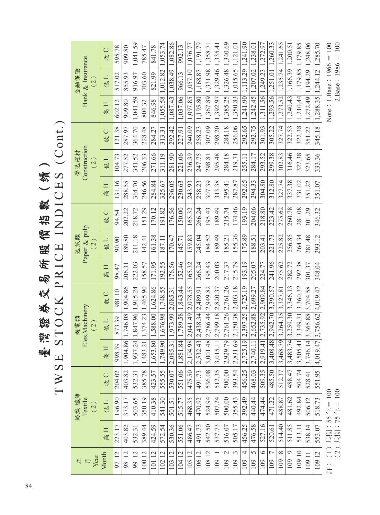雪猫貓老女吃在我每茄数(嬌)<br>TWSE STOCK PRICE INDICES (Cont.) TWSE STOCK PRICE INDICES (Cont.) 臺灣證券交易所股價指數(續)

| $\#\mathbb{E}$ year   |        | 紡織纖維<br>Textile<br>(2) |        |                                                            | Eles.Machinery<br>機電類<br>(2)     |                                       |        | Paper & pulp<br>造紙類<br>(2) |        |        | Construction<br>營造建材<br>(2) |             |                                         | Bank & Insurance<br>金融保險<br>(2)      |                 |
|-----------------------|--------|------------------------|--------|------------------------------------------------------------|----------------------------------|---------------------------------------|--------|----------------------------|--------|--------|-----------------------------|-------------|-----------------------------------------|--------------------------------------|-----------------|
| Month                 | 高日     | 低L                     | 收C     | 同宜                                                         | 低工                               | 收C                                    | 高日     | 低L                         | 收C     | H<br>帼 | 低工                          | $\cup$<br>圪 | H<br>帼                                  | 低工                                   | 收C              |
| $\overline{12}$<br>97 | 223.17 | 196.90                 | 204.02 | $\circ$<br>998.3                                           | 873.39                           | 981.10                                | 98.47  | 90.90                      | 94.54  | 131.16 | 104.73                      | 121.38      | 602.12                                  | 517.02                               | 595.78          |
| 12<br>98              | 403.82 | 373.17                 | 403.82 |                                                            | 1,904.86 1,746.08                | 1,904.86                              | 206.31 | 189.80                     | 202.22 | 288.55 | 277.52                      | 287.97      | 909.80                                  | 855.93                               | 909.80          |
| 99 12                 | 532.31 | 503.65                 | 532.31 | 1.937.24 1.847.96 1.915.24                                 |                                  |                                       | 222.03 | 211.18                     | 218.72 | 364.70 | 341.52                      | 364.70      | 1,041.59                                | 916.97                               | 1,041.59        |
| 10012                 | 389.44 | 350.19                 | 385.78 | $1,483.21$   $1,374.23$                                    |                                  | 1,465.90                              | 158.57 | 142.41                     | 151.29 | 246.56 | 206.33                      | 228.48      | 804.32                                  | 703.60                               | 785.47          |
| 10112                 | 424.59 | 410.38                 | 423.57 | 1,653.8                                                    | 80   1,588.00                    | 1,624.86                              | 171.95 | 161.38                     | 170.12 | 284.84 | 271.66                      | 284.27      | 846.98                                  | 821.99                               | 841.78          |
| 10212                 | 572.54 | 541.30                 | 555.55 | 1.749.                                                     | 90   1,676.98   1,748.55         |                                       | 192.55 | 187.11                     | 191.82 | 325.67 | 311.19                      | 313.31      | 1.055.58 1.012.82 1.053.74              |                                      |                 |
| 103 12                | 530.36 | 501.51                 | 530.07 | $\mid$ 2,085.31   1,973.99   2,085.31                      |                                  |                                       | 176.56 | 170.47                     | 176.56 | 296.05 | 281.90                      | 292.42      |                                         | 1.087.43 1.038.49 1.082.86           |                 |
| 10412                 | 551.06 | 515.77                 | 551.06 | 1,881.8                                                    | 84   1,789.58                    | 1,843.44                              | 152.46 | 145.71                     | 150.00 | 230.63 | 221.06                      | 227.91      | 1,037.06                                | 966.13                               | 992.13          |
| 105 12                | 486.47 | 468.35                 |        | 475.50 2.104.98 2.041.49 2.078.55                          |                                  |                                       | 165.32 | 159.83                     | 165.32 | 243.93 | 236.39                      | 240.09      | 1.097.85 1.057.10 1.076.77              |                                      |                 |
| 10612                 | 491.73 | 470.92                 | 491.73 | $\left  2,532.43 \right $ 2,438.34 2,489.91                |                                  |                                       | 266.24 | 245.04                     | 266.24 | 258.23 | 247.75                      | 258.23      |                                         | 1,195.80 1,168.87 1,191,79           |                 |
| $\overline{c}$<br>108 | 542.50 | 524.94                 | 536.08 | $\left  3,001.48 \right $ 2,786.44 2,949.82                |                                  |                                       | 195.43 | 184.52                     | 195.43 | 307.39 | 298.81                      | 307.09      |                                         | 1,367.89 1,331.98                    | 1,358.71        |
| 109                   | 537.73 | 507.24                 | 512.35 | 3,015                                                      | $11 \mid 2.799.18 \mid 2.820.37$ |                                       | 200.03 | 189.49                     | 189.49 | 313.38 | 295.48                      |             | 298.20   1,392.97   1,329.46   1,335.41 |                                      |                 |
| $\mathcal{C}$<br>109  | 516.07 | 500.00                 | 500.00 | 2,929                                                      |                                  | 79 2,761.26 2,761.26                  | 217.37 | 185.21                     | 215.74 | 295.41 | 284.18                      | 284.18      | 1,385.25                                | 1.326.48 1.340.69                    |                 |
| 3<br>109              | 505.17 | 355.43                 | 393.54 | 2,831.                                                     | 69 2,150.38 2,403.18             |                                       | 215.79 | 155.36                     | 174.46 | 287.87 | 219.71                      | 256.06      | 1,350.83                                | $1,015.65$   1,121.01                |                 |
| 4<br>109              | 456.25 | 392.49                 | 456.25 | 2,725                                                      |                                  | 19 2.397.25 2.725.19                  | 193.19 | 175.89                     | 193.19 | 292.65 | 255.11                      |             | 292.65   1,241.90   1,113.29   1,241.90 |                                      |                 |
| 5<br>109              | 476.58 | 440.44                 | 468.03 | 2,740                                                      | 11 2.652.88 2.699.27             |                                       | 205.07 | 188.51                     | 204.06 | 294.33 | 284.17                      | 292.75      |                                         | $1,242.45$   $1,207.02$   $1,238.01$ |                 |
| $\circ$<br>109        | 527.16 | 474.44                 | 509.35 | $\left  2,919.41 \right  2,735.92 \left  2,909.84 \right $ |                                  |                                       | 224.77 | 203.41                     | 218.80 | 304.80 | 293.52                      | 301.93      |                                         | 1,311.56   1,249.23   1,272.97       |                 |
| $\overline{C}$<br>109 | 520.61 | 471.22                 | 485.50 | $3.408.48$ 2.942.70 3.390.57                               |                                  |                                       | 241.96 | 221.73                     | 223.42 | 312.80 | 299.38                      | 305.22      |                                         | 1,293.56 1,251.01 1,260.33           |                 |
| $\infty$<br>109       | 514.40 | 488.87                 | 512.37 | 3,468.                                                     | 79 3.264.35                      | 3,327.81                              | 275.62 | 225.82                     | 275.62 | 327.74 | 302.83                      | 327.74      |                                         | 1,273.52 1,235.74 1,241.65           |                 |
| Q<br>109              | 511.85 | 481.62                 | 488.47 | 3,483                                                      | $74$   3,259.30  3,346.13        |                                       | 282.72 | 256.85                     | 260.78 | 337.38 | 316.46                      | 322.53      | 1,240.43                                | 1,166.39                             | 1,200.5         |
| 10910                 | 513.11 | 492.84                 |        | 504.74 3,505.41 3,349.71 3,360.32                          |                                  |                                       | 292.38 | 264.34                     | 281.08 | 331.02 | 322.38                      | 322.38      | 1,210.44 1,179.85 1,179.85              |                                      |                 |
| 10911                 | 538.14 | 506.12                 | 528.41 | 3,746.                                                     |                                  | $\lfloor 4 \rfloor$ 3,365.88 3,704.58 | 301.37 | 281.48                     | 301.29 | 351.22 | 323.65                      | 351.22      | 1,272.49                                | 1.194.29                             | 1,248.06        |
| 10912                 | 553.07 | 518.73                 | 551.95 | $ 4,019,47 $ 3,756.62 $ 4,019,47 $                         |                                  |                                       | 348.04 | 293.12                     | 346.32 | 351.07 | 333.36                      | 345.18      | $1,288.35$   1,244.12   1,285.70        |                                      |                 |
| $\frac{1}{11}$        | 一十十十   | $\tilde{\zeta}$<br>よしし |        |                                                            |                                  |                                       |        |                            |        |        |                             |             |                                         | $\tilde{z}$                          | $\tilde{\zeta}$ |

Note: 1.Base: 1966 = 100<br>2.Base: 1986 = 100 Note:  $1.$ Base:  $1966 = 100$  $2.Base:1986 = 100$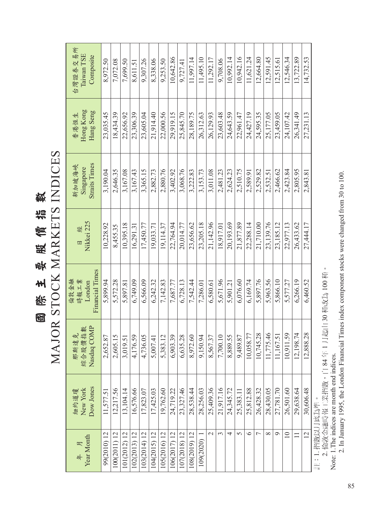國際主要跟信施數<br>MAJOR STOCK MARKETS INDICES MAJOR STOCK MARKETS INDICES 國際主要股價指數

| 台灣證券交易所<br>Taiwan TSE<br>Composite         | 8,972.50    | 7,072.08     | 7,699.50     | 8.611.51      | 9.307.26     | 8.338.06     | 9.253.50     | 10,642.86    | 9,727.41     | 11,997.14    | 11,495.10    | 11.292.17     | 9.708.06  | 10.992.14 | 10.942.16 | 11.621.24 | 12.664.80      | 12.591.45 | 12,515.6  | 12,546.34       | 13,722.89 | 14,732.53      |
|--------------------------------------------|-------------|--------------|--------------|---------------|--------------|--------------|--------------|--------------|--------------|--------------|--------------|---------------|-----------|-----------|-----------|-----------|----------------|-----------|-----------|-----------------|-----------|----------------|
| Hong Kong<br>Hang Seng<br>香港恆生             | 23,035.45   | 18,434.39    | 22,656.92    | 23.306.39     | 23,605.04    | 21.914.40    | 22.000.56    | 29,919.15    | 25.845.70    | 28,189.75    | 26,312.63    | 26,129.93     | 23,603.48 | 24,643.59 | 22.961.47 | 24,427.19 | 24.595.35      | 25,177.05 | 23,459.05 | 24.107.42       | 26.341.49 | 27,231.13      |
| <b>Straits Times</b><br>新加坡海峽<br>Singapore | 3,190.04    | 2,646.35     | 3,167.08     | 3.167.43      | 3.365.15     | 2.882.73     | 2,880.76     | 3,402.92     | 3,068.76     | 3,222.83     | 3,153.73     | 3.011.08      | 2,481.23  | 2,624.23  | 2.510.75  | 2,589.91  | 2.529.82       | 2,532.51  | 2,466.62  | 2.423.84        | 2,805.95  | 2,843.81       |
| Nikkei 225<br>日                            | 10,228.92   | 8,455.35     | 10.395.18    | 16.291.31     | 17,450.77    | 19.033.71    | 19,114.37    | 22.764.94    | 20,014.77    | 23,656.62    | 23,205.18    | 21,142.96     | 18.917.01 | 20.193.69 | 21,877.89 | 22.288.14 | 21,710.00      | 23,139.76 | 23,185.12 | 22.977.13       | 26.433.62 | 27,444.17      |
| Financial Times<br>倫敦金融<br>時報工業<br>London  | 5,899.94    | 5,572.28     | 5,897.81     | 6,749.09      | 6.566.09     | 6.242.32     | 7.142.83     | 7,687.77     | 6.728.13     | 7.542.44     | 7,286.01     | 6,580.61      | 5.671.96  | 5.901.21  | 6.076.60  | 6,169.74  | 5,897.76       | 5,963.56  | 5,866.10  | 5,577.27        | 6,266.19  | 6,460.52       |
| Nasdaq COMP<br>綜合股價指數<br>那斯達克              | 2,652.87    | 2,605.15     | 3,019.51     | 176.59<br>4,1 | 4,736.05     | 5,007.41     | 5,383.12     | 6,903.39     | 6,635.28     | 8,972.60     | 50.94<br>9,1 | 8,567.37      | 7,700.10  | 8,889.55  | 9,489.87  | 10,058.77 | 10,745.28      | 11,775.46 | 11,167.51 | 10,911.59       | 12,198.74 | 12,888.28      |
| Dow Jones<br>New York<br>紐約道瓊              | 11,577.51   | 12,217.56    | 13,104.14    | 16,576.66     | 17,823.07    | 17,425.03    | 19,762.60    | 24,719.22    | 23,327.46    | 28,538.44    | 28,256.03    | 25,409.36     | 21.917.16 | 24,345.72 | 25.383.11 | 25,812.88 | 26,428.32      | 28,430.05 | 27,781.70 | 26,501.60       | 29,638.64 | 30,606.48      |
| Year Month<br>年月                           | 99(2010) 12 | 100(2011) 12 | 101(2012) 12 | 102(2013) 12  | (03(2014) 12 | 104(2015) 12 | 105(2016) 12 | 106(2017) 12 | 107(2018) 12 | 108(2019) 12 | 109(2020)    | $\mathcal{L}$ | 3         | 4         | $\Omega$  | ৩         | $\overline{ }$ | $\infty$  | ᡋ         | $\overline{10}$ |           | $\overline{2}$ |

註:1. 指數以月底為準。

註:1. 指數以月底為準。<br>2. 倫敦金融時報工業指數,自 84 年 1 月起由 30 種改為 100 種。<br>Note: 1.The indices are month end indices. 2. 倫敦金融時報工業指數,自 84 年 1 月起由 30 種改為 100 種。

Note: 1.The indices are month end indices.